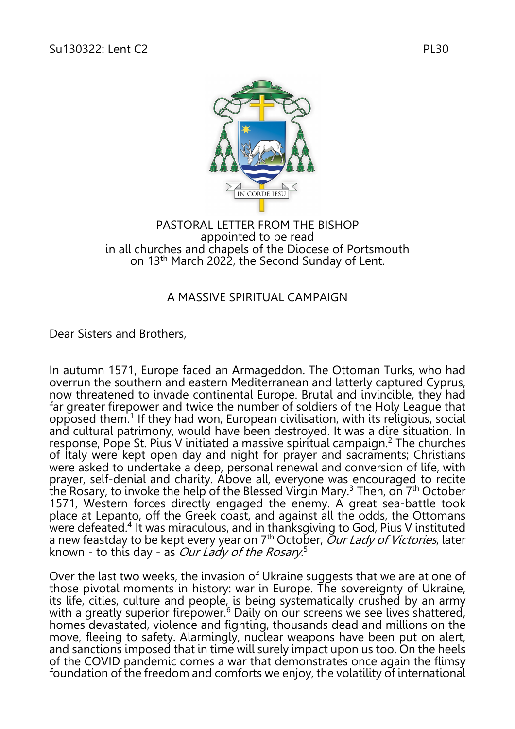

## PASTORAL LETTER FROM THE BISHOP appointed to be read in all churches and chapels of the Diocese of Portsmouth on 13<sup>th</sup> March 2022, the Second Sunday of Lent.

## A MASSIVE SPIRITUAL CAMPAIGN

Dear Sisters and Brothers,

In autumn 1571, Europe faced an Armageddon. The Ottoman Turks, who had overrun the southern and eastern Mediterranean and latterly captured Cyprus, now threatened to invade continental Europe. Brutal and invincible, they had far greater firepower and twice the number of soldiers of the Holy League that opposed them. <sup>1</sup> If they had won, European civilisation, with its religious, social and cultural patrimony, would have been destroyed. It was a dire situation. In response, Pope St. Pius V initiated a massive spiritual campaign.<sup>2</sup> The churches of Italy were kept open day and night for prayer and sacraments; Christians were asked to undertake a deep, personal renewal and conversion of life, with prayer, self-denial and charity. Above all, everyone was encouraged to recite the Rosary, to invoke the help of the Blessed Virgin Mary.<sup>3</sup> Then, on 7<sup>th</sup> October 1571, Western forces directly engaged the enemy. A great sea-battle took place at Lepanto, off the Greek coast, and against all the odds, the Ottomans were defeated.<sup>4</sup> It was miraculous, and in thanksgiving to God, Pius V instituted a new feastday to be kept every year on 7<sup>th</sup> October, Our Lady of Victories, later known - to this day - as *Our Lady of the Rosary.*<sup>5</sup>

Over the last two weeks, the invasion of Ukraine suggests that we are at one of those pivotal moments in history: war in Europe. The sovereignty of Ukraine, its life, cities, culture and people, is being systematically crushed by an army with a greatly superior firepower.<sup>6</sup> Daily on our screens we see lives shattered, homes devastated, violence and fighting, thousands dead and millions on the move, fleeing to safety. Alarmingly, nuclear weapons have been put on alert, and sanctions imposed that in time will surely impact upon us too. On the heels of the COVID pandemic comes a war that demonstrates once again the flimsy foundation of the freedom and comforts we enjoy, the volatility of international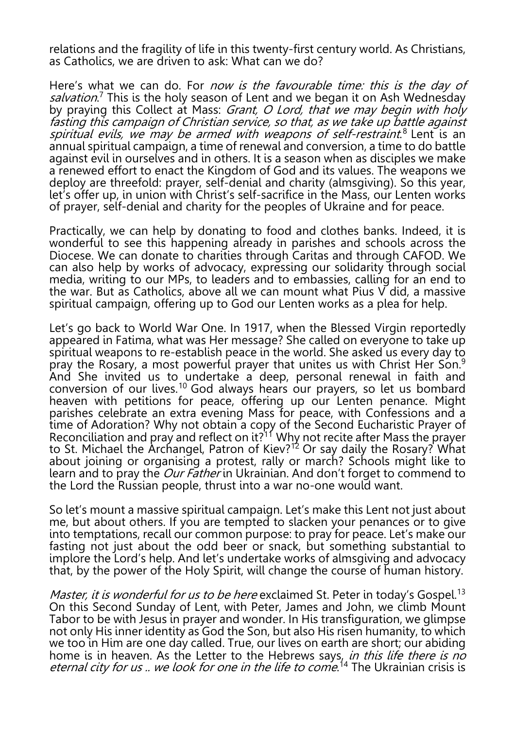relations and the fragility of life in this twenty-first century world. As Christians, as Catholics, we are driven to ask: What can we do?

Here's what we can do. For *now is the favourable time: this is the day of* salvation.<sup>7</sup> This is the holy season of Lent and we began it on Ash Wednesday by praying this Collect at Mass: *Grant, O Lord, that we may begin with holy* fasting this campaign of Christian service, so that, as we take up battle against spiritual evils, we may be armed with weapons of self-restraint.<sup>8</sup> Lent is an annual spiritual campaign, a time of renewal and conversion, a time to do battle against evil in ourselves and in others. It is a season when as disciples we make a renewed effort to enact the Kingdom of God and its values. The weapons we deploy are threefold: prayer, self-denial and charity (almsgiving). So this year, let's offer up, in union with Christ's self-sacrifice in the Mass, our Lenten works of prayer, self-denial and charity for the peoples of Ukraine and for peace.

Practically, we can help by donating to food and clothes banks. Indeed, it is wonderful to see this happening already in parishes and schools across the Diocese. We can donate to charities through Caritas and through CAFOD. We can also help by works of advocacy, expressing our solidarity through social media, writing to our MPs, to leaders and to embassies, calling for an end to the war. But as Catholics, above all we can mount what Pius V did, a massive spiritual campaign, offering up to God our Lenten works as a plea for help.

Let's go back to World War One. In 1917, when the Blessed Virgin reportedly appeared in Fatima, what was Her message? She called on everyone to take up spiritual weapons to re-establish peace in the world. She asked us every day to pray the Rosary, a most powerful prayer that unites us with Christ Her Son.<sup>9</sup> And She invited us to undertake a deep, personal renewal in faith and conversion of our lives. <sup>10</sup> God always hears our prayers, so let us bombard heaven with petitions for peace, offering up our Lenten penance. Might parishes celebrate an extra evening Mass for peace, with Confessions and a time of Adoration? Why not obtain a copy of the Second Eucharistic Prayer of Reconciliation and pray and reflect on it? $11$ <sup>'</sup> Why not recite after Mass the prayer to St. Michael the Archangel, Patron of Kiev?<sup>12</sup> Or say daily the Rosary? What about joining or organising a protest, rally or march? Schools might like to learn and to pray the Our Father in Ukrainian. And don't forget to commend to the Lord the Russian people, thrust into a war no-one would want.

So let's mount a massive spiritual campaign. Let's make this Lent not just about me, but about others. If you are tempted to slacken your penances or to give into temptations, recall our common purpose: to pray for peace. Let's make our fasting not just about the odd beer or snack, but something substantial to implore the Lord's help. And let's undertake works of almsgiving and advocacy that, by the power of the Holy Spirit, will change the course of human history.

*Master, it is wonderful for us to be here* exclaimed St. Peter in today's Gospel.<sup>13</sup> On this Second Sunday of Lent, with Peter, James and John, we climb Mount Tabor to be with Jesus in prayer and wonder. In His transfiguration, we glimpse not only His inner identity as God the Son, but also His risen humanity, to which we too in Him are one day called. True, our lives on earth are short; our abiding home is in heaven. As the Letter to the Hebrews says, *in this life there is no eternal city for us .. we look for one in the life to come*.<sup>14</sup> The Ukrainian crisis is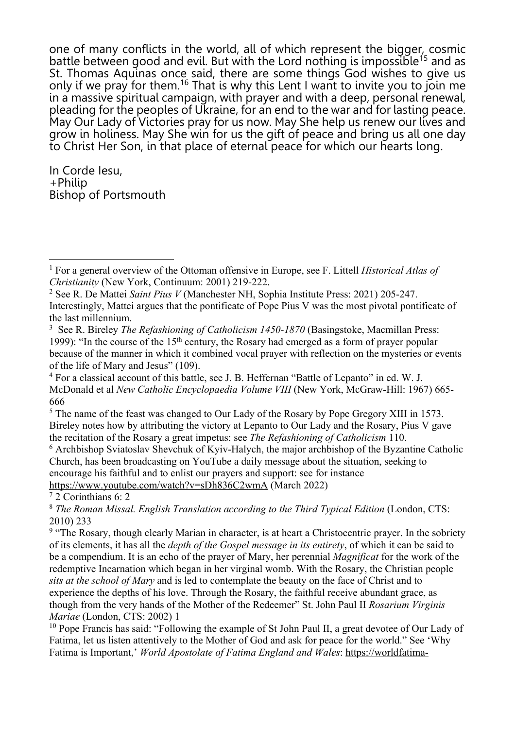one of many conflicts in the world, all of which represent the bigger, cosmic battle between good and evil. But with the Lord nothing is impossible<sup>15</sup> and as St. Thomas Aquinas once said, there are some things God wishes to give us only if we pray for them.<sup>16</sup> That is why this Lent I want to invite you to join me in a massive spiritual campaign, with prayer and with a deep, personal renewal, pleading for the peoples of Ukraine, for an end to the war and for lasting peace. May Our Lady of Victories pray for us now. May She help us renew our lives and grow in holiness. May She win for us the gift of peace and bring us all one day to Christ Her Son, in that place of eternal peace for which our hearts long.

In Corde Iesu, +Philip Bishop of Portsmouth

<sup>6</sup> Archbishop Sviatoslav Shevchuk of Kyiv-Halych, the major archbishop of the Byzantine Catholic Church, has been broadcasting on YouTube a daily message about the situation, seeking to encourage his faithful and to enlist our prayers and support: see for instance https://www.youtube.com/watch?v=sDh836C2wmA (March 2022)

<sup>7</sup> 2 Corinthians 6: 2

<sup>1</sup> For a general overview of the Ottoman offensive in Europe, see F. Littell *Historical Atlas of Christianity* (New York, Continuum: 2001) 219-222.

<sup>2</sup> See R. De Mattei *Saint Pius V* (Manchester NH, Sophia Institute Press: 2021) 205-247. Interestingly, Mattei argues that the pontificate of Pope Pius V was the most pivotal pontificate of the last millennium.

<sup>3</sup> See R. Bireley *The Refashioning of Catholicism 1450-1870* (Basingstoke, Macmillan Press: 1999): "In the course of the  $15<sup>th</sup>$  century, the Rosary had emerged as a form of prayer popular because of the manner in which it combined vocal prayer with reflection on the mysteries or events of the life of Mary and Jesus" (109).

<sup>4</sup> For a classical account of this battle, see J. B. Heffernan "Battle of Lepanto" in ed. W. J. McDonald et al *New Catholic Encyclopaedia Volume VIII* (New York, McGraw-Hill: 1967) 665- 666

<sup>&</sup>lt;sup>5</sup> The name of the feast was changed to Our Lady of the Rosary by Pope Gregory XIII in 1573. Bireley notes how by attributing the victory at Lepanto to Our Lady and the Rosary, Pius V gave the recitation of the Rosary a great impetus: see *The Refashioning of Catholicism* 110.

<sup>8</sup> *The Roman Missal. English Translation according to the Third Typical Edition* (London, CTS: 2010) 233

<sup>&</sup>lt;sup>9</sup> "The Rosary, though clearly Marian in character, is at heart a Christocentric prayer. In the sobriety of its elements, it has all the *depth of the Gospel message in its entirety*, of which it can be said to be a compendium. It is an echo of the prayer of Mary, her perennial *Magnificat* for the work of the redemptive Incarnation which began in her virginal womb. With the Rosary, the Christian people *sits at the school of Mary* and is led to contemplate the beauty on the face of Christ and to experience the depths of his love. Through the Rosary, the faithful receive abundant grace, as though from the very hands of the Mother of the Redeemer" St. John Paul II *Rosarium Virginis Mariae* (London, CTS: 2002) 1

<sup>&</sup>lt;sup>10</sup> Pope Francis has said: "Following the example of St John Paul II, a great devotee of Our Lady of Fatima, let us listen attentively to the Mother of God and ask for peace for the world." See 'Why Fatima is Important,' *World Apostolate of Fatima England and Wales*: https://worldfatima-